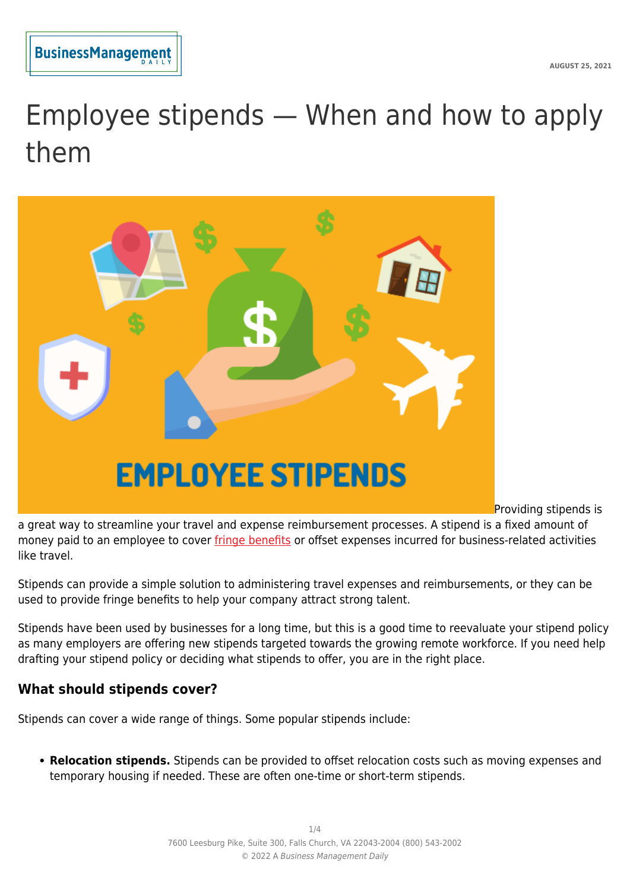

# Employee stipends — When and how to apply them



Providing stipends is

a great way to streamline your travel and expense reimbursement processes. A stipend is a fixed amount of money paid to an employee to cover [fringe benefits](https://www.hoppier.com/blog/fringe-benefits-and-taxable-benefits-usa) or offset expenses incurred for business-related activities like travel.

Stipends can provide a simple solution to administering travel expenses and reimbursements, or they can be used to provide fringe benefits to help your company attract strong talent.

Stipends have been used by businesses for a long time, but this is a good time to reevaluate your stipend policy as many employers are offering new stipends targeted towards the growing remote workforce. If you need help drafting your stipend policy or deciding what stipends to offer, you are in the right place.

#### **What should stipends cover?**

Stipends can cover a wide range of things. Some popular stipends include:

**Relocation stipends.** Stipends can be provided to offset relocation costs such as moving expenses and temporary housing if needed. These are often one-time or short-term stipends.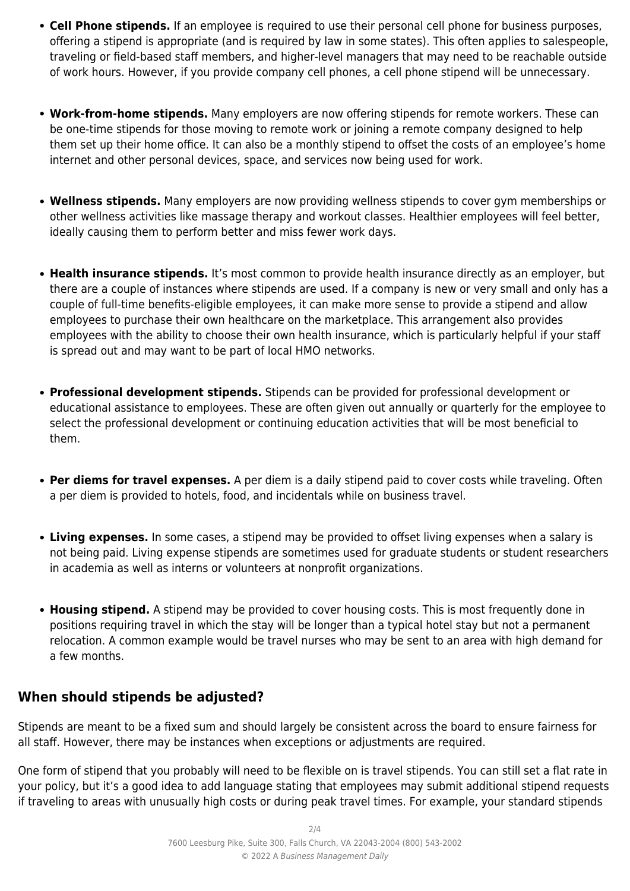- **Cell Phone stipends.** If an employee is required to use their personal cell phone for business purposes, offering a stipend is appropriate (and is required by law in some states). This often applies to salespeople, traveling or field-based staff members, and higher-level managers that may need to be reachable outside of work hours. However, if you provide company cell phones, a cell phone stipend will be unnecessary.
- **Work-from-home stipends.** Many employers are now offering stipends for remote workers. These can be one-time stipends for those moving to remote work or joining a remote company designed to help them set up their home office. It can also be a monthly stipend to offset the costs of an employee's home internet and other personal devices, space, and services now being used for work.
- **Wellness stipends.** Many employers are now providing wellness stipends to cover gym memberships or other wellness activities like massage therapy and workout classes. Healthier employees will feel better, ideally causing them to perform better and miss fewer work days.
- **Health insurance stipends.** It's most common to provide health insurance directly as an employer, but there are a couple of instances where stipends are used. If a company is new or very small and only has a couple of full-time benefits-eligible employees, it can make more sense to provide a stipend and allow employees to purchase their own healthcare on the marketplace. This arrangement also provides employees with the ability to choose their own health insurance, which is particularly helpful if your staff is spread out and may want to be part of local HMO networks.
- **Professional development stipends.** Stipends can be provided for professional development or educational assistance to employees. These are often given out annually or quarterly for the employee to select the professional development or continuing education activities that will be most beneficial to them.
- **Per diems for travel expenses.** A per diem is a daily stipend paid to cover costs while traveling. Often a per diem is provided to hotels, food, and incidentals while on business travel.
- **Living expenses.** In some cases, a stipend may be provided to offset living expenses when a salary is not being paid. Living expense stipends are sometimes used for graduate students or student researchers in academia as well as interns or volunteers at nonprofit organizations.
- **Housing stipend.** A stipend may be provided to cover housing costs. This is most frequently done in positions requiring travel in which the stay will be longer than a typical hotel stay but not a permanent relocation. A common example would be travel nurses who may be sent to an area with high demand for a few months.

#### **When should stipends be adjusted?**

Stipends are meant to be a fixed sum and should largely be consistent across the board to ensure fairness for all staff. However, there may be instances when exceptions or adjustments are required.

One form of stipend that you probably will need to be flexible on is travel stipends. You can still set a flat rate in your policy, but it's a good idea to add language stating that employees may submit additional stipend requests if traveling to areas with unusually high costs or during peak travel times. For example, your standard stipends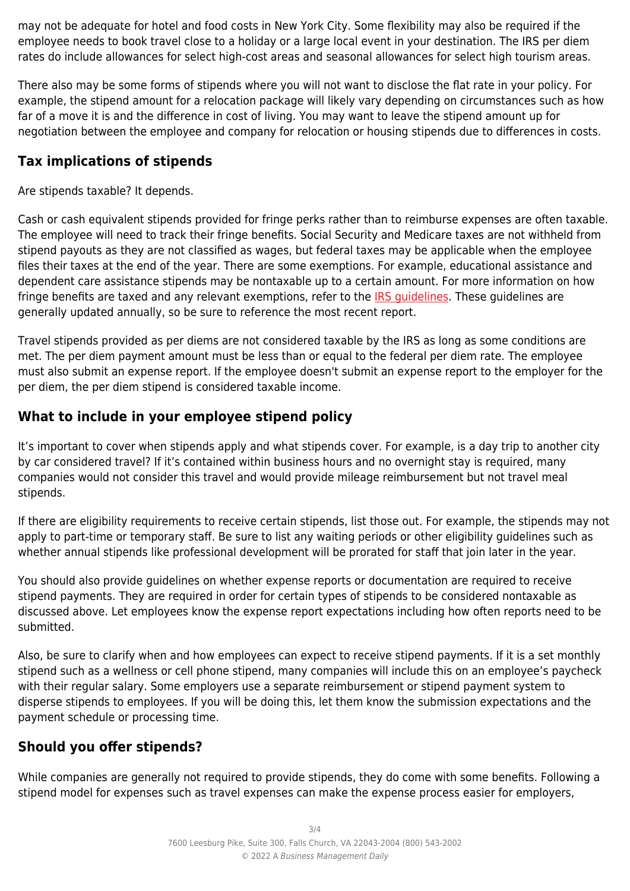may not be adequate for hotel and food costs in New York City. Some flexibility may also be required if the employee needs to book travel close to a holiday or a large local event in your destination. The IRS per diem rates do include allowances for select high-cost areas and seasonal allowances for select high tourism areas.

There also may be some forms of stipends where you will not want to disclose the flat rate in your policy. For example, the stipend amount for a relocation package will likely vary depending on circumstances such as how far of a move it is and the difference in cost of living. You may want to leave the stipend amount up for negotiation between the employee and company for relocation or housing stipends due to differences in costs.

#### **Tax implications of stipends**

Are stipends taxable? It depends.

Cash or cash equivalent stipends provided for fringe perks rather than to reimburse expenses are often taxable. The employee will need to track their fringe benefits. Social Security and Medicare taxes are not withheld from stipend payouts as they are not classified as wages, but federal taxes may be applicable when the employee files their taxes at the end of the year. There are some exemptions. For example, educational assistance and dependent care assistance stipends may be nontaxable up to a certain amount. For more information on how fringe benefits are taxed and any relevant exemptions, refer to the [IRS guidelines.](https://www.irs.gov/publications/p15b) These guidelines are generally updated annually, so be sure to reference the most recent report.

Travel stipends provided as per diems are not considered taxable by the IRS as long as some conditions are met. The per diem payment amount must be less than or equal to the federal per diem rate. The employee must also submit an expense report. If the employee doesn't submit an expense report to the employer for the per diem, the per diem stipend is considered taxable income.

## **What to include in your employee stipend policy**

It's important to cover when stipends apply and what stipends cover. For example, is a day trip to another city by car considered travel? If it's contained within business hours and no overnight stay is required, many companies would not consider this travel and would provide mileage reimbursement but not travel meal stipends.

If there are eligibility requirements to receive certain stipends, list those out. For example, the stipends may not apply to part-time or temporary staff. Be sure to list any waiting periods or other eligibility guidelines such as whether annual stipends like professional development will be prorated for staff that join later in the year.

You should also provide guidelines on whether expense reports or documentation are required to receive stipend payments. They are required in order for certain types of stipends to be considered nontaxable as discussed above. Let employees know the expense report expectations including how often reports need to be submitted.

Also, be sure to clarify when and how employees can expect to receive stipend payments. If it is a set monthly stipend such as a wellness or cell phone stipend, many companies will include this on an employee's paycheck with their regular salary. Some employers use a separate reimbursement or stipend payment system to disperse stipends to employees. If you will be doing this, let them know the submission expectations and the payment schedule or processing time.

## **Should you offer stipends?**

While companies are generally not required to provide stipends, they do come with some benefits. Following a stipend model for expenses such as travel expenses can make the expense process easier for employers,